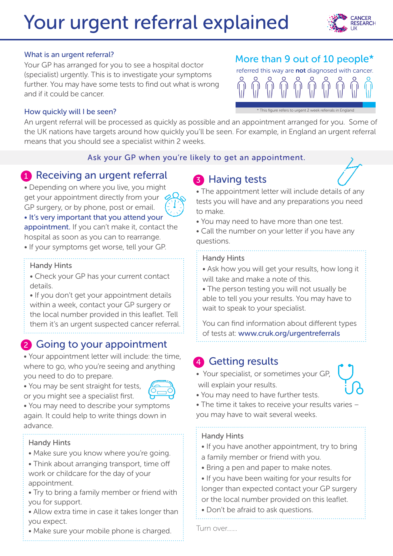# Your urgent referral explained



#### What is an urgent referral?

Your GP has arranged for you to see a hospital doctor (specialist) urgently. This is to investigate your symptoms further. You may have some tests to find out what is wrong and if it could be cancer.

## More than 9 out of 10 people\*

referred this way are **not** diagnosed with cancer. \* This figure refers to urgent 2 week referrals in England

#### How quickly will I be seen?

An urgent referral will be processed as quickly as possible and an appointment arranged for you. Some of the UK nations have targets around how quickly you'll be seen. For example, in England an urgent referral means that you should see a specialist within 2 weeks.

#### Ask your GP when you're likely to get an appointment.

## **1** Receiving an urgent referral

• Depending on where you live, you might get your appointment directly from your GP surgery, or by phone, post or email.

• It's very important that you attend your appointment. If you can't make it, contact the

hospital as soon as you can to rearrange.

• If your symptoms get worse, tell your GP.

#### Handy Hints

• Check your GP has your current contact details.

• If you don't get your appointment details within a week, contact your GP surgery or the local number provided in this leaflet. Tell them it's an urgent suspected cancer referral.

## 2 Going to your appointment

• Your appointment letter will include: the time, where to go, who you're seeing and anything you need to do to prepare.

• You may be sent straight for tests, or you might see a specialist first.



• You may need to describe your symptoms again. It could help to write things down in advance.

#### Handy Hints

- Make sure you know where you're going.
- Think about arranging transport, time off work or childcare for the day of your appointment.
- Try to bring a family member or friend with you for support.
- Allow extra time in case it takes longer than you expect.
- Make sure your mobile phone is charged.

# 3 Having tests



• The appointment letter will include details of any tests you will have and any preparations you need to make.

• You may need to have more than one test.

• Call the number on your letter if you have any questions.

#### Handy Hints

• Ask how you will get your results, how long it will take and make a note of this.

• The person testing you will not usually be able to tell you your results. You may have to wait to speak to your specialist.

You can find information about different types of tests at: www.cruk.org/urgentreferrals

## 4 Getting results

• Your specialist, or sometimes your GP, will explain your results.



- You may need to have further tests.
- The time it takes to receive your results varies you may have to wait several weeks.

### Handy Hints

- If you have another appointment, try to bring a family member or friend with you.
- Bring a pen and paper to make notes.
- If you have been waiting for your results for longer than expected contact your GP surgery
- or the local number provided on this leaflet.
- Don't be afraid to ask questions.

Turn over.......